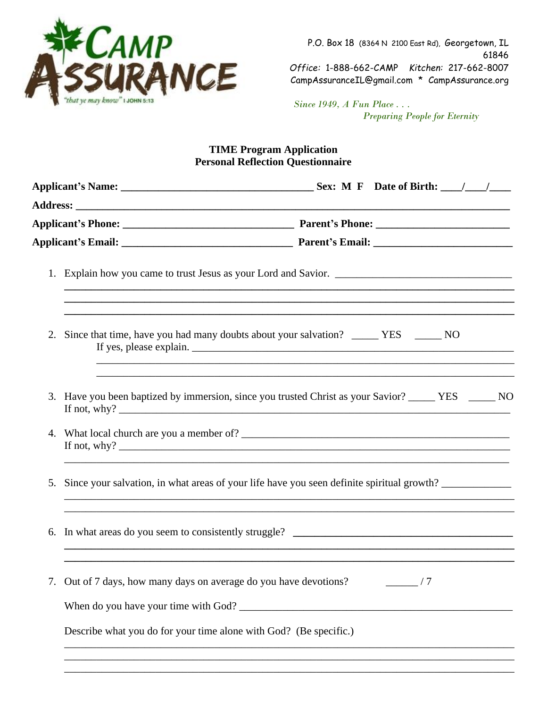

P.O. Box 18 (8364 N 2100 East Rd), Georgetown, IL 61846 *Office:* 1-888-662-CAMP *Kitchen:* 217-662-8007 CampAssuranceIL@gmail.com \* CampAssurance.org

 *Since 1949, A Fun Place . . . Preparing People for Eternity*

#### **TIME Program Application Personal Reflection Questionnaire**

|    |                                                                   | ,我们也不能在这里的时候,我们也不能在这里的时候,我们也不能不能不能不能不能不能不能不能不能不能不能不能不能不能不能。""我们不能不能不能不能不能不能不能不能不能                                                                                     |  |  |  |  |  |  |
|----|-------------------------------------------------------------------|-----------------------------------------------------------------------------------------------------------------------------------------------------------------------|--|--|--|--|--|--|
|    |                                                                   | 2. Since that time, have you had many doubts about your salvation? ______ YES ______ NO                                                                               |  |  |  |  |  |  |
|    |                                                                   | 3. Have you been baptized by immersion, since you trusted Christ as your Savior? _____ YES _____ NO                                                                   |  |  |  |  |  |  |
|    |                                                                   |                                                                                                                                                                       |  |  |  |  |  |  |
| 5. |                                                                   | Since your salvation, in what areas of your life have you seen definite spiritual growth?                                                                             |  |  |  |  |  |  |
|    |                                                                   | ,我们也不能会在这里的人,我们也不能会在这里,我们也不能会在这里,我们也不能会在这里,我们也不能会在这里,我们也不能会在这里,我们也不能会在这里,我们也不能会在这<br>,我们也不会有什么。""我们的人,我们也不会有什么?""我们的人,我们也不会有什么?""我们的人,我们也不会有什么?""我们的人,我们也不会有什么?""我们的人 |  |  |  |  |  |  |
|    |                                                                   | Out of 7 days, how many days on average do you have devotions?                                                                                                        |  |  |  |  |  |  |
|    |                                                                   |                                                                                                                                                                       |  |  |  |  |  |  |
|    | Describe what you do for your time alone with God? (Be specific.) |                                                                                                                                                                       |  |  |  |  |  |  |
|    |                                                                   |                                                                                                                                                                       |  |  |  |  |  |  |
|    |                                                                   |                                                                                                                                                                       |  |  |  |  |  |  |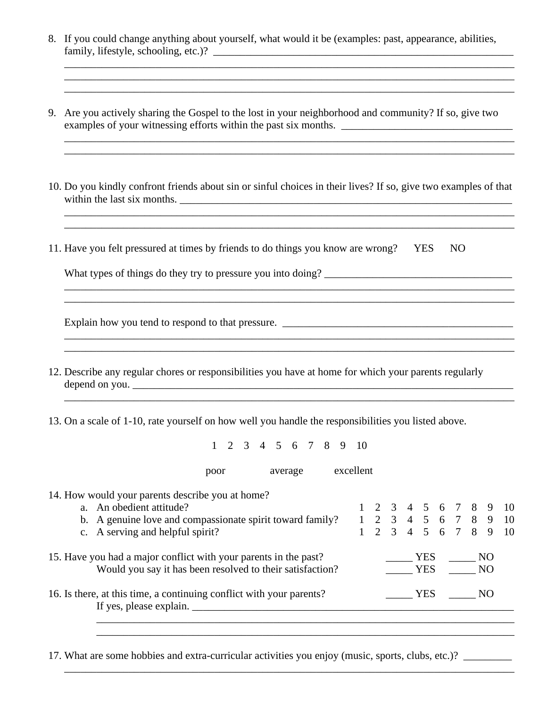8. If you could change anything about yourself, what would it be (examples: past, appearance, abilities, family, lifestyle, schooling, etc.)? \_\_\_\_\_\_\_\_\_\_\_\_\_\_\_\_\_\_\_\_\_\_\_\_\_\_\_\_\_\_\_\_\_\_\_\_\_\_\_\_\_\_\_\_\_\_\_\_\_\_\_\_\_\_\_\_

\_\_\_\_\_\_\_\_\_\_\_\_\_\_\_\_\_\_\_\_\_\_\_\_\_\_\_\_\_\_\_\_\_\_\_\_\_\_\_\_\_\_\_\_\_\_\_\_\_\_\_\_\_\_\_\_\_\_\_\_\_\_\_\_\_\_\_\_\_\_\_\_\_\_\_\_\_\_\_\_\_\_\_\_

- 9. Are you actively sharing the Gospel to the lost in your neighborhood and community? If so, give two examples of your witnessing efforts within the past six months. \_\_\_\_\_\_\_\_\_\_\_\_\_\_\_\_\_\_\_\_\_\_\_\_\_\_\_\_\_\_\_\_
- 10. Do you kindly confront friends about sin or sinful choices in their lives? If so, give two examples of that within the last six months. \_\_\_\_\_\_\_\_\_\_\_\_\_\_\_\_\_\_\_\_\_\_\_\_\_\_\_\_\_\_\_\_\_\_\_\_\_\_\_\_\_\_\_\_\_\_\_\_\_\_\_\_\_\_\_\_\_\_\_\_\_\_

\_\_\_\_\_\_\_\_\_\_\_\_\_\_\_\_\_\_\_\_\_\_\_\_\_\_\_\_\_\_\_\_\_\_\_\_\_\_\_\_\_\_\_\_\_\_\_\_\_\_\_\_\_\_\_\_\_\_\_\_\_\_\_\_\_\_\_\_\_\_\_\_\_\_\_\_\_\_\_\_\_\_\_\_

\_\_\_\_\_\_\_\_\_\_\_\_\_\_\_\_\_\_\_\_\_\_\_\_\_\_\_\_\_\_\_\_\_\_\_\_\_\_\_\_\_\_\_\_\_\_\_\_\_\_\_\_\_\_\_\_\_\_\_\_\_\_\_\_\_\_\_\_\_\_\_\_\_\_\_\_\_\_\_\_\_\_\_\_ \_\_\_\_\_\_\_\_\_\_\_\_\_\_\_\_\_\_\_\_\_\_\_\_\_\_\_\_\_\_\_\_\_\_\_\_\_\_\_\_\_\_\_\_\_\_\_\_\_\_\_\_\_\_\_\_\_\_\_\_\_\_\_\_\_\_\_\_\_\_\_\_\_\_\_\_\_\_\_\_\_\_\_\_

\_\_\_\_\_\_\_\_\_\_\_\_\_\_\_\_\_\_\_\_\_\_\_\_\_\_\_\_\_\_\_\_\_\_\_\_\_\_\_\_\_\_\_\_\_\_\_\_\_\_\_\_\_\_\_\_\_\_\_\_\_\_\_\_\_\_\_\_\_\_\_\_\_\_\_\_\_\_\_\_\_\_\_\_

11. Have you felt pressured at times by friends to do things you know are wrong? YES NO

| What types of things do they try to pressure you into doing? |  |  |
|--------------------------------------------------------------|--|--|
|                                                              |  |  |

\_\_\_\_\_\_\_\_\_\_\_\_\_\_\_\_\_\_\_\_\_\_\_\_\_\_\_\_\_\_\_\_\_\_\_\_\_\_\_\_\_\_\_\_\_\_\_\_\_\_\_\_\_\_\_\_\_\_\_\_\_\_\_\_\_\_\_\_\_\_\_\_\_\_\_\_\_\_\_\_\_\_\_\_

Explain how you tend to respond to that pressure.

\_\_\_\_\_\_\_\_\_\_\_\_\_\_\_\_\_\_\_\_\_\_\_\_\_\_\_\_\_\_\_\_\_\_\_\_\_\_\_\_\_\_\_\_\_\_\_\_\_\_\_\_\_\_\_\_\_\_\_\_\_\_\_\_\_\_\_\_\_\_\_\_\_\_\_\_\_\_\_\_\_\_\_\_

- 12. Describe any regular chores or responsibilities you have at home for which your parents regularly  $\alpha$  depend on you.
- 13. On a scale of 1-10, rate yourself on how well you handle the responsibilities you listed above.

1 2 3 4 5 6 7 8 9 10

\_\_\_\_\_\_\_\_\_\_\_\_\_\_\_\_\_\_\_\_\_\_\_\_\_\_\_\_\_\_\_\_\_\_\_\_\_\_\_\_\_\_\_\_\_\_\_\_\_\_\_\_\_\_\_\_\_\_\_\_\_\_\_\_\_\_\_\_\_\_\_\_\_\_\_\_\_\_\_\_\_\_\_\_

poor average excellent

14. How would your parents describe you at home?<br>a. An obedient attitude?

| 1.1.1000 would your puremed describe you at home.                              |        |  |  |     |  |  |        |  |                                          |
|--------------------------------------------------------------------------------|--------|--|--|-----|--|--|--------|--|------------------------------------------|
| a. An obedient attitude?                                                       |        |  |  |     |  |  |        |  | $1 \t2 \t3 \t4 \t5 \t6 \t7 \t8 \t9 \t10$ |
| b. A genuine love and compassionate spirit toward family? 1 2 3 4 5 6 7 8 9 10 |        |  |  |     |  |  |        |  |                                          |
| c. A serving and helpful spirit?                                               |        |  |  |     |  |  |        |  | $1 \t2 \t3 \t4 \t5 \t6 \t7 \t8 \t9 \t10$ |
| 15. Have you had a major conflict with your parents in the past?               | YES NO |  |  |     |  |  |        |  |                                          |
| Would you say it has been resolved to their satisfaction?                      |        |  |  |     |  |  | YES NO |  |                                          |
| 16. Is there, at this time, a continuing conflict with your parents?           |        |  |  | YES |  |  | NO     |  |                                          |
|                                                                                |        |  |  |     |  |  |        |  |                                          |
|                                                                                |        |  |  |     |  |  |        |  |                                          |

\_\_\_\_\_\_\_\_\_\_\_\_\_\_\_\_\_\_\_\_\_\_\_\_\_\_\_\_\_\_\_\_\_\_\_\_\_\_\_\_\_\_\_\_\_\_\_\_\_\_\_\_\_\_\_\_\_\_\_\_\_\_\_\_\_\_\_\_\_\_\_\_\_\_\_\_\_\_

\_\_\_\_\_\_\_\_\_\_\_\_\_\_\_\_\_\_\_\_\_\_\_\_\_\_\_\_\_\_\_\_\_\_\_\_\_\_\_\_\_\_\_\_\_\_\_\_\_\_\_\_\_\_\_\_\_\_\_\_\_\_\_\_\_\_\_\_\_\_\_\_\_\_\_\_\_\_\_\_\_\_\_\_

17. What are some hobbies and extra-curricular activities you enjoy (music, sports, clubs, etc.)?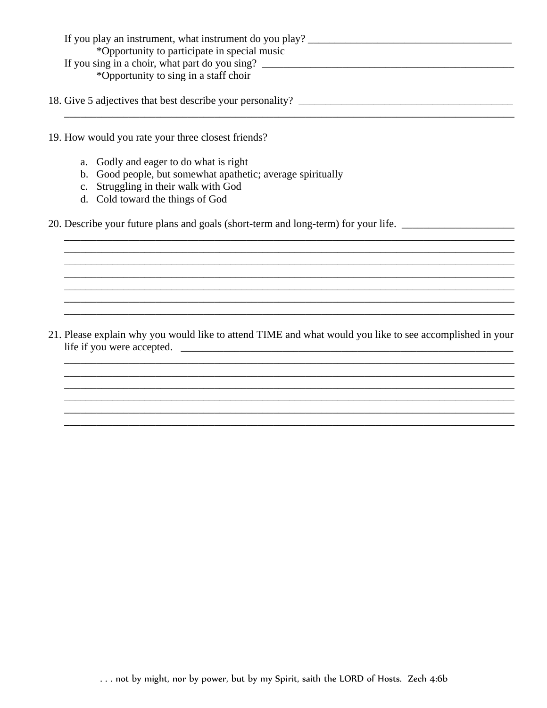| If you play an instrument, what instrument do you play? |
|---------------------------------------------------------|
| *Opportunity to participate in special music            |
| If you sing in a choir, what part do you sing?          |
| *Opportunity to sing in a staff choir                   |

- 19. How would you rate your three closest friends?
	- a. Godly and eager to do what is right
	- b. Good people, but somewhat apathetic; average spiritually
	- c. Struggling in their walk with God
	- d. Cold toward the things of God

20. Describe your future plans and goals (short-term and long-term) for your life. \_\_\_\_\_\_\_\_\_\_\_\_\_\_\_\_\_\_\_\_\_\_\_\_\_\_\_

21. Please explain why you would like to attend TIME and what would you like to see accomplished in your